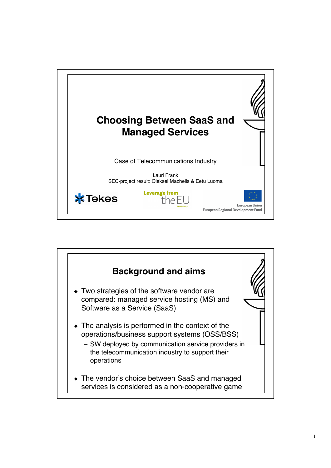

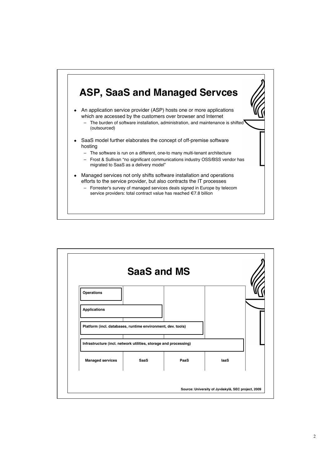

| Operations                                                       |             |      |      |
|------------------------------------------------------------------|-------------|------|------|
|                                                                  |             |      |      |
| <b>Applications</b>                                              |             |      |      |
| Platform (incl. databases, runtime environment, dev. tools)      |             |      |      |
| Infrastructure (incl. network utilities, storage and processing) |             |      |      |
| <b>Managed services</b>                                          | <b>SaaS</b> | PaaS | laaS |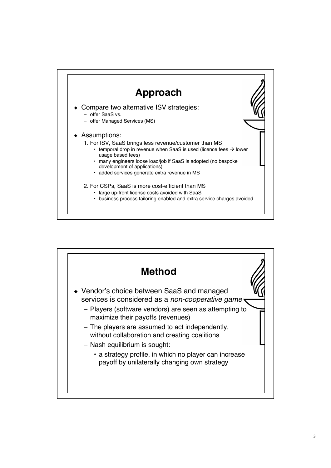

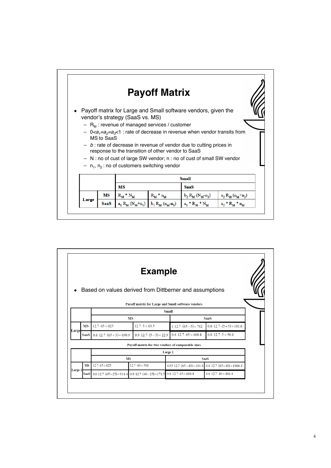

|         |             |                                                                                                                          | <b>Example</b>                                     |                                   |                                                                                     |  |  |  |  |
|---------|-------------|--------------------------------------------------------------------------------------------------------------------------|----------------------------------------------------|-----------------------------------|-------------------------------------------------------------------------------------|--|--|--|--|
|         |             | Based on values derived from Dittberner and assumptions                                                                  |                                                    |                                   |                                                                                     |  |  |  |  |
|         |             |                                                                                                                          | Payoff matrix for Large and Small software vendors |                                   |                                                                                     |  |  |  |  |
|         |             | <b>Small</b>                                                                                                             |                                                    |                                   |                                                                                     |  |  |  |  |
|         |             | <b>MS</b>                                                                                                                |                                                    | <b>SaaS</b>                       |                                                                                     |  |  |  |  |
| Large   | <b>MS</b>   | $12.7 \cdot 65 = 825$                                                                                                    | $12.7 \cdot 5 = 63.5$                              | $1.12.7 \cdot (65 - 5) = 762$     | $0.8 \cdot 12.7 \cdot (5 + 5) = 101.6$                                              |  |  |  |  |
|         | <b>SaaS</b> | $0.8 \cdot 12.7 \cdot (65 + 3) = 690.9$                                                                                  | $0.9 \cdot 12.7 \cdot (5-3) = 22.9$                | $0.8 \cdot 12.7 \cdot 65 = 660.4$ | $0.8 \cdot 12.7 \cdot 5 = 50.8$                                                     |  |  |  |  |
|         |             |                                                                                                                          | Payoff matrix for two vendors of comparable sizes  |                                   |                                                                                     |  |  |  |  |
|         |             | Large 2                                                                                                                  |                                                    |                                   |                                                                                     |  |  |  |  |
|         |             | <b>MS</b>                                                                                                                |                                                    | <b>SaaS</b>                       |                                                                                     |  |  |  |  |
| Large 1 | <b>MS</b>   | $12.7 \cdot 65 = 825$                                                                                                    | $12.7 \cdot 40 = 508$                              |                                   | $0.95 \cdot 12.7 \cdot (65 - 40) = 301.6$ $0.8 \cdot 12.7 \cdot (65 + 40) = 1066.8$ |  |  |  |  |
|         |             | SaaS $0.8 \cdot 12.7 \cdot (65 + 25) = 914.4$ $0.9 \cdot 12.7 \cdot (40 - 25) = 171.5$ $0.8 \cdot 12.7 \cdot 65 = 660.4$ |                                                    |                                   | $0.8 \cdot 12.7 \cdot 40 = 406.4$                                                   |  |  |  |  |